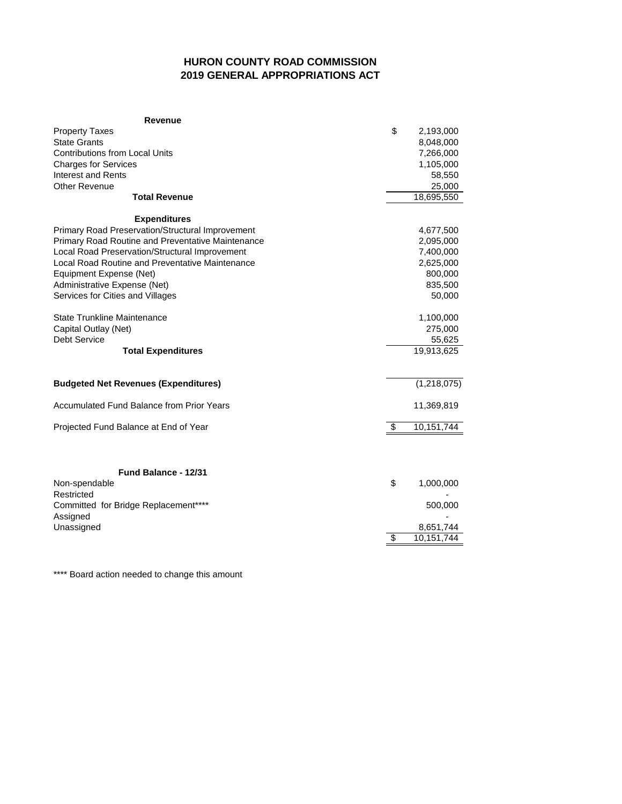## **HURON COUNTY ROAD COMMISSION 2019 GENERAL APPROPRIATIONS ACT**

| <b>Revenue</b>                                          |                                        |             |
|---------------------------------------------------------|----------------------------------------|-------------|
| <b>Property Taxes</b>                                   | \$                                     | 2,193,000   |
| <b>State Grants</b>                                     |                                        | 8,048,000   |
| <b>Contributions from Local Units</b>                   |                                        | 7,266,000   |
| <b>Charges for Services</b>                             |                                        | 1,105,000   |
| <b>Interest and Rents</b>                               |                                        | 58,550      |
| Other Revenue                                           |                                        | 25,000      |
| <b>Total Revenue</b>                                    |                                        | 18,695,550  |
| <b>Expenditures</b>                                     |                                        |             |
| <b>Primary Road Preservation/Structural Improvement</b> |                                        | 4,677,500   |
| Primary Road Routine and Preventative Maintenance       |                                        | 2,095,000   |
| Local Road Preservation/Structural Improvement          |                                        | 7,400,000   |
| Local Road Routine and Preventative Maintenance         |                                        | 2,625,000   |
| Equipment Expense (Net)                                 |                                        | 800,000     |
| Administrative Expense (Net)                            |                                        | 835,500     |
| Services for Cities and Villages                        |                                        | 50,000      |
| <b>State Trunkline Maintenance</b>                      |                                        | 1,100,000   |
| Capital Outlay (Net)                                    |                                        | 275,000     |
| <b>Debt Service</b>                                     |                                        | 55,625      |
| <b>Total Expenditures</b>                               |                                        | 19,913,625  |
| <b>Budgeted Net Revenues (Expenditures)</b>             |                                        | (1,218,075) |
| <b>Accumulated Fund Balance from Prior Years</b>        |                                        | 11,369,819  |
| Projected Fund Balance at End of Year                   | $\overline{\boldsymbol{\mathfrak{s}}}$ | 10,151,744  |
|                                                         |                                        |             |
| Fund Balance - 12/31                                    |                                        |             |
| Non-spendable                                           | \$                                     | 1,000,000   |
| Restricted                                              |                                        |             |
| Committed for Bridge Replacement****<br>Assigned        |                                        | 500,000     |
| Unassigned                                              |                                        | 8,651,744   |
|                                                         | $\overline{\mathcal{S}}$               | 10,151,744  |

\*\*\*\* Board action needed to change this amount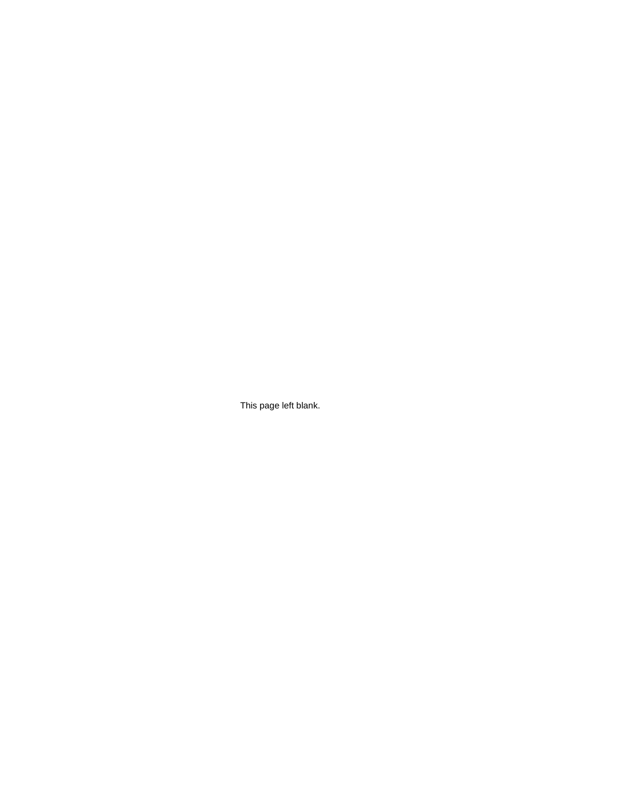This page left blank.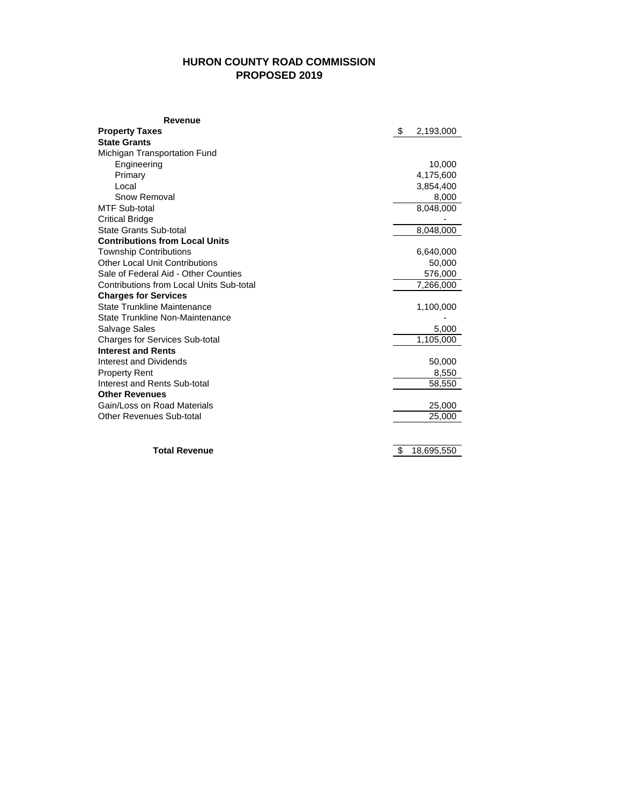## **HURON COUNTY ROAD COMMISSION PROPOSED 2019**

| Revenue                                  |                  |
|------------------------------------------|------------------|
| <b>Property Taxes</b>                    | \$<br>2,193,000  |
| <b>State Grants</b>                      |                  |
| Michigan Transportation Fund             |                  |
| Engineering                              | 10,000           |
| Primary                                  | 4,175,600        |
| Local                                    | 3,854,400        |
| Snow Removal                             | 8,000            |
| <b>MTF Sub-total</b>                     | 8,048,000        |
| <b>Critical Bridge</b>                   |                  |
| State Grants Sub-total                   | 8,048,000        |
| <b>Contributions from Local Units</b>    |                  |
| <b>Township Contributions</b>            | 6,640,000        |
| <b>Other Local Unit Contributions</b>    | 50,000           |
| Sale of Federal Aid - Other Counties     | 576,000          |
| Contributions from Local Units Sub-total | 7,266,000        |
| <b>Charges for Services</b>              |                  |
| <b>State Trunkline Maintenance</b>       | 1,100,000        |
| State Trunkline Non-Maintenance          |                  |
| Salvage Sales                            | 5,000            |
| Charges for Services Sub-total           | 1,105,000        |
| <b>Interest and Rents</b>                |                  |
| Interest and Dividends                   | 50,000           |
| <b>Property Rent</b>                     | 8,550            |
| Interest and Rents Sub-total             | 58,550           |
| <b>Other Revenues</b>                    |                  |
| Gain/Loss on Road Materials              | 25,000           |
| <b>Other Revenues Sub-total</b>          | 25,000           |
|                                          |                  |
| <b>Total Revenue</b>                     | \$<br>18,695,550 |